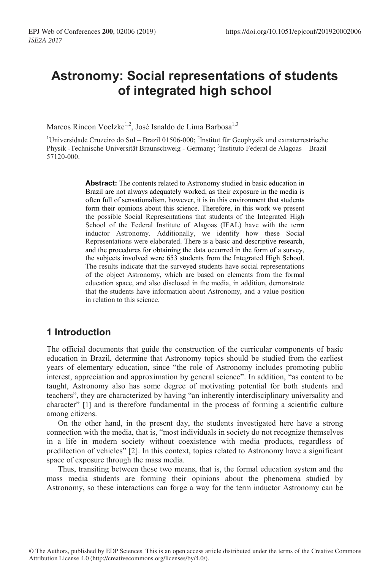# Astronomy: Social representations of students of integrated high school

Marcos Rincon Voelzke<sup>1,2</sup>, José Isnaldo de Lima Barbosa<sup>1,3</sup>

<sup>1</sup>Universidade Cruzeiro do Sul – Brazil 01506-000; <sup>2</sup>Institut für Geophysik und extraterrestrische Physik -Technische Universität Braunschweig - Germany; <sup>3</sup>Instituto Federal de Alagoas - Brazil 57120-000.

> Abstract: The contents related to Astronomy studied in basic education in Brazil are not always adequately worked, as their exposure in the media is often full of sensationalism, however, it is in this environment that students form their opinions about this science. Therefore, in this work we present the possible Social Representations that students of the Integrated High School of the Federal Institute of Alagoas (IFAL) have with the term inductor Astronomy. Additionally, we identify how these Social Representations were elaborated. There is a basic and descriptive research, and the procedures for obtaining the data occurred in the form of a survey, the subjects involved were 653 students from the Integrated High School. The results indicate that the surveyed students have social representations of the object Astronomy, which are based on elements from the formal education space, and also disclosed in the media, in addition, demonstrate that the students have information about Astronomy, and a value position in relation to this science.

# 1 Introduction

The official documents that guide the construction of the curricular components of basic education in Brazil, determine that Astronomy topics should be studied from the earliest years of elementary education, since "the role of Astronomy includes promoting public interest, appreciation and approximation by general science". In addition, "as content to be taught, Astronomy also has some degree of motivating potential for both students and teachers", they are characterized by having "an inherently interdisciplinary universality and character" [1] and is therefore fundamental in the process of forming a scientific culture among citizens.

On the other hand, in the present day, the students investigated here have a strong connection with the media, that is, "most individuals in society do not recognize themselves in a life in modern society without coexistence with media products, regardless of predilection of vehicles" [2]. In this context, topics related to Astronomy have a significant space of exposure through the mass media.

Thus, transiting between these two means, that is, the formal education system and the mass media students are forming their opinions about the phenomena studied by Astronomy, so these interactions can forge a way for the term inductor Astronomy can be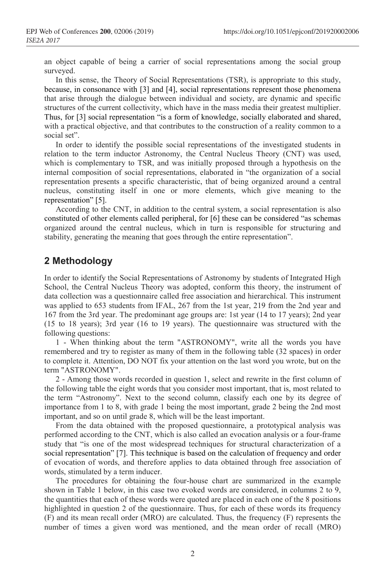an object capable of being a carrier of social representations among the social group surveyed.

In this sense, the Theory of Social Representations (TSR), is appropriate to this study, because, in consonance with [3] and [4], social representations represent those phenomena that arise through the dialogue between individual and society, are dynamic and specific structures of the current collectivity, which have in the mass media their greatest multiplier. Thus, for [3] social representation "is a form of knowledge, socially elaborated and shared, with a practical objective, and that contributes to the construction of a reality common to a social set".

In order to identify the possible social representations of the investigated students in relation to the term inductor Astronomy, the Central Nucleus Theory (CNT) was used, which is complementary to TSR, and was initially proposed through a hypothesis on the internal composition of social representations, elaborated in "the organization of a social representation presents a specific characteristic, that of being organized around a central nucleus, constituting itself in one or more elements, which give meaning to the representation" [5].

According to the CNT, in addition to the central system, a social representation is also constituted of other elements called peripheral, for [6] these can be considered "as schemas organized around the central nucleus, which in turn is responsible for structuring and stability, generating the meaning that goes through the entire representation".

### 2 Methodology

In order to identify the Social Representations of Astronomy by students of Integrated High School, the Central Nucleus Theory was adopted, conform this theory, the instrument of data collection was a questionnaire called free association and hierarchical. This instrument was applied to 653 students from IFAL, 267 from the 1st year, 219 from the 2nd year and 167 from the 3rd year. The predominant age groups are: 1st year (14 to 17 years); 2nd year (15 to 18 years); 3rd year (16 to 19 years). The questionnaire was structured with the following questions:

1 - When thinking about the term "ASTRONOMY", write all the words you have remembered and try to register as many of them in the following table (32 spaces) in order to complete it. Attention, DO NOT fix your attention on the last word you wrote, but on the term "ASTRONOMY".

2 - Among those words recorded in question 1, select and rewrite in the first column of the following table the eight words that you consider most important, that is, most related to the term "Astronomy". Next to the second column, classify each one by its degree of importance from 1 to 8, with grade 1 being the most important, grade 2 being the 2nd most important, and so on until grade 8, which will be the least important.

From the data obtained with the proposed questionnaire, a prototypical analysis was performed according to the CNT, which is also called an evocation analysis or a four-frame study that "is one of the most widespread techniques for structural characterization of a social representation" [7]. This technique is based on the calculation of frequency and order of evocation of words, and therefore applies to data obtained through free association of words, stimulated by a term inducer.

The procedures for obtaining the four-house chart are summarized in the example shown in Table 1 below, in this case two evoked words are considered, in columns 2 to 9, the quantities that each of these words were quoted are placed in each one of the 8 positions highlighted in question 2 of the questionnaire. Thus, for each of these words its frequency (F) and its mean recall order (MRO) are calculated. Thus, the frequency (F) represents the number of times a given word was mentioned, and the mean order of recall (MRO)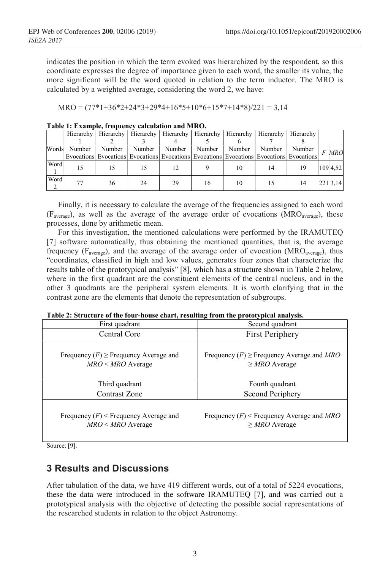indicates the position in which the term evoked was hierarchized by the respondent, so this coordinate expresses the degree of importance given to each word, the smaller its value, the more significant will be the word quoted in relation to the term inductor. The MRO is calculated by a weighted average, considering the word 2, we have:

 $MRO = (77*1+36*2+24*3+29*4+16*5+10*6+15*7+14*8)/221 = 3,14$ 

|       | Hierarchy |        | Hierarchy   Hierarchy   Hierarchy   Hierarchy   Hierarchy   Hierarchy   Hierarchy |        |        |        |        |                                                                                                       |            |
|-------|-----------|--------|-----------------------------------------------------------------------------------|--------|--------|--------|--------|-------------------------------------------------------------------------------------------------------|------------|
|       |           |        |                                                                                   |        |        |        |        |                                                                                                       |            |
| Words | Number    | Number | Number                                                                            | Number | Number | Number | Number | Number                                                                                                | $F$ MRO    |
|       |           |        |                                                                                   |        |        |        |        | Evocations   Evocations   Evocations   Evocations   Evocations   Evocations   Evocations   Evocations |            |
| Word  |           |        |                                                                                   |        |        | 10     | 14     | 19                                                                                                    | $109$ 4.52 |
| Word  | 77        | 36     | 24                                                                                | 29     | 16     | 10     | 15     | 14                                                                                                    | 221 3.14   |

#### Table 1: Example, frequency calculation and MRO.

Finally, it is necessary to calculate the average of the frequencies assigned to each word ( $F_{\text{average}}$ ), as well as the average of the average order of evocations ( $MRO_{\text{average}}$ ), these processes, done by arithmetic mean.

For this investigation, the mentioned calculations were performed by the IRAMUTEQ [7] software automatically, thus obtaining the mentioned quantities, that is, the average frequency ( $F_{\text{average}}$ ), and the average of the average order of evocation ( $MRO_{\text{average}}$ ), thus "coordinates, classified in high and low values, generates four zones that characterize the results table of the prototypical analysis" [8], which has a structure shown in Table 2 below, where in the first quadrant are the constituent elements of the central nucleus, and in the other 3 quadrants are the peripheral system elements. It is worth clarifying that in the contrast zone are the elements that denote the representation of subgroups.

| First quadrant                                                    | Second quadrant                                                      |
|-------------------------------------------------------------------|----------------------------------------------------------------------|
| Central Core                                                      | <b>First Periphery</b>                                               |
| Frequency $(F) \geq$ Frequency Average and<br>$MRO < MRO$ Average | Frequency $(F) \geq$ Frequency Average and MRO<br>$\geq MRO$ Average |
| Third quadrant                                                    | Fourth quadrant                                                      |
| Contrast Zone                                                     | Second Periphery                                                     |
| Frequency $(F)$ < Frequency Average and<br>$MRO < MRO$ Average    | Frequency $(F)$ < Frequency Average and MRO<br>$\geq MRO$ Average    |

| Table 2: Structure of the four-house chart, resulting from the prototypical analysis. |  |  |  |
|---------------------------------------------------------------------------------------|--|--|--|
|---------------------------------------------------------------------------------------|--|--|--|

Source: [9].

### 3 Results and Discussions

After tabulation of the data, we have 419 different words, out of a total of 5224 evocations, these the data were introduced in the software IRAMUTEQ [7], and was carried out a prototypical analysis with the objective of detecting the possible social representations of the researched students in relation to the object Astronomy.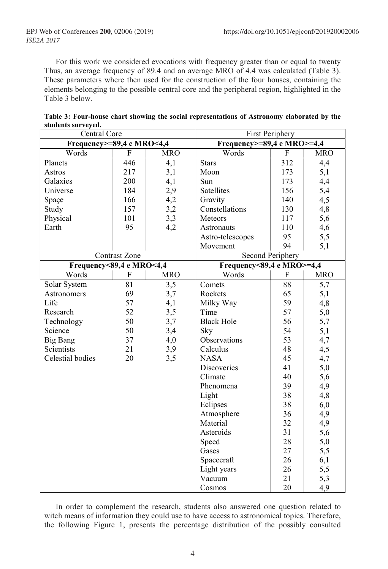For this work we considered evocations with frequency greater than or equal to twenty Thus, an average frequency of 89.4 and an average MRO of 4.4 was calculated (Table 3). These parameters where then used for the construction of the four houses, containing the elements belonging to the possible central core and the peripheral region, highlighted in the Table 3 below.

| Central Core              |                      |            | <b>First Periphery</b>     |                           |            |  |
|---------------------------|----------------------|------------|----------------------------|---------------------------|------------|--|
| Frequency>=89,4 e MRO<4,4 |                      |            | Frequency>=89,4 e MRO>=4,4 |                           |            |  |
| Words                     | F                    | <b>MRO</b> | Words                      | $\boldsymbol{\mathrm{F}}$ | <b>MRO</b> |  |
| Planets                   | 446                  | 4,1        | <b>Stars</b>               | 312                       | 4,4        |  |
| Astros                    | 217                  | 3,1        | Moon                       | 173                       | 5,1        |  |
| Galaxies                  | 200                  | 4,1        | Sun                        | 173                       | 4,4        |  |
| Universe                  | 184                  | 2,9        | <b>Satellites</b>          | 156                       | 5,4        |  |
| Spaçe                     | 166                  | 4,2        | Gravity                    | 140                       | 4,5        |  |
| Study                     | 157                  | 3,2        | Constellations             | 130                       | 4,8        |  |
| Physical                  | 101                  | 3,3        | Meteors                    | 117                       | 5,6        |  |
| Earth                     | 95                   | 4,2        | <b>Astronauts</b>          | 110                       | 4,6        |  |
|                           |                      |            | 95<br>Astro-telescopes     |                           | 5,5        |  |
|                           |                      |            | Movement                   | 94                        | 5,1        |  |
|                           | <b>Contrast Zone</b> |            | Second Periphery           |                           |            |  |
| Frequency<89,4 e MRO<4,4  |                      |            | Frequency<89,4 e MRO>=4,4  |                           |            |  |
| Words                     | ${\bf F}$            | <b>MRO</b> | Words                      | ${\bf F}$                 | <b>MRO</b> |  |
| Solar System              | 81                   | 3,5        | Comets                     | 88                        | 5,7        |  |
| Astronomers               | 69                   | 3,7        | Rockets                    | 65                        | 5,1        |  |
| Life                      | 57                   | 4,1        | Milky Way                  | 59                        | 4,8        |  |
| Research                  | 52                   | 3,5        | Time                       | 57                        | 5,0        |  |
| Technology                | 50                   | 3,7        | <b>Black Hole</b>          | 56                        | 5,7        |  |
| Science                   | 50                   | 3,4        | Sky                        | 54                        | 5,1        |  |
| <b>Big Bang</b>           | 37                   | 4,0        | Observations               | 53                        | 4,7        |  |
| Scientists                | 21                   | 3,9        | Calculus                   | 48                        | 4,5        |  |
| Celestial bodies          | 20                   | 3,5        | <b>NASA</b>                | 45                        | 4,7        |  |
|                           |                      |            | Discoveries                | 41                        | 5,0        |  |
|                           |                      |            | Climate                    | 40                        | 5,6        |  |
|                           |                      |            | Phenomena                  | 39                        | 4,9        |  |
|                           |                      |            | Light                      | 38                        | 4,8        |  |
|                           |                      |            | Eclipses                   | 38                        | 6,0        |  |
|                           |                      |            | Atmosphere                 | 36                        | 4,9        |  |
|                           |                      |            | Material                   | 32                        | 4,9        |  |
|                           |                      |            | Asteroids                  | 31                        | 5,6        |  |
|                           |                      |            | Speed                      | 28                        | 5,0        |  |
|                           |                      |            | Gases                      | 27                        | 5,5        |  |
|                           |                      |            | Spacecraft                 | 26                        | 6,1        |  |
|                           |                      |            | Light years                | 26                        | 5,5        |  |
|                           |                      |            | Vacuum                     | 21                        | 5,3        |  |
|                           |                      |            | Cosmos                     | 20                        | 4,9        |  |

Table 3: Four-house chart showing the social representations of Astronomy elaborated by the students surveyed.

In order to complement the research, students also answered one question related to witch means of information they could use to have access to astronomical topics. Therefore, the following Figure 1, presents the percentage distribution of the possibly consulted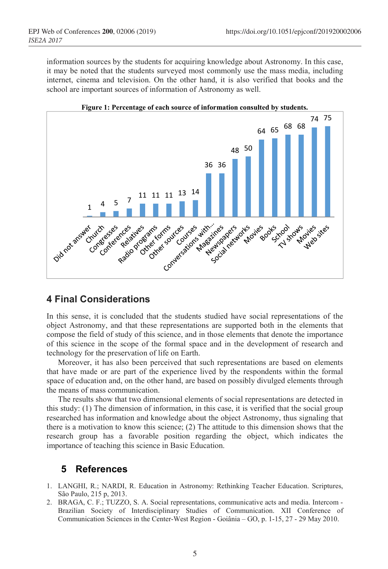information sources by the students for acquiring knowledge about Astronomy. In this case, it may be noted that the students surveyed most commonly use the mass media, including internet, cinema and television. On the other hand, it is also verified that books and the school are important sources of information of Astronomy as well.



Figure 1: Percentage of each source of information consulted by students.

# 4 Final Considerations

In this sense, it is concluded that the students studied have social representations of the object Astronomy, and that these representations are supported both in the elements that compose the field of study of this science, and in those elements that denote the importance of this science in the scope of the formal space and in the development of research and technology for the preservation of life on Earth.

Moreover, it has also been perceived that such representations are based on elements that have made or are part of the experience lived by the respondents within the formal space of education and, on the other hand, are based on possibly divulged elements through the means of mass communication.

The results show that two dimensional elements of social representations are detected in this study: (1) The dimension of information, in this case, it is verified that the social group researched has information and knowledge about the object Astronomy, thus signaling that there is a motivation to know this science; (2) The attitude to this dimension shows that the research group has a favorable position regarding the object, which indicates the importance of teaching this science in Basic Education.

# 5 References

- 1. LANGHI, R.; NARDI, R. Education in Astronomy: Rethinking Teacher Education. Scriptures, São Paulo, 215 p, 2013.
- 2. BRAGA, C. F.; TUZZO, S. A. Social representations, communicative acts and media. Intercom Brazilian Society of Interdisciplinary Studies of Communication. XII Conference of Communication Sciences in the Center-West Region - Goiânia – GO, p. 1-15, 27 - 29 May 2010.